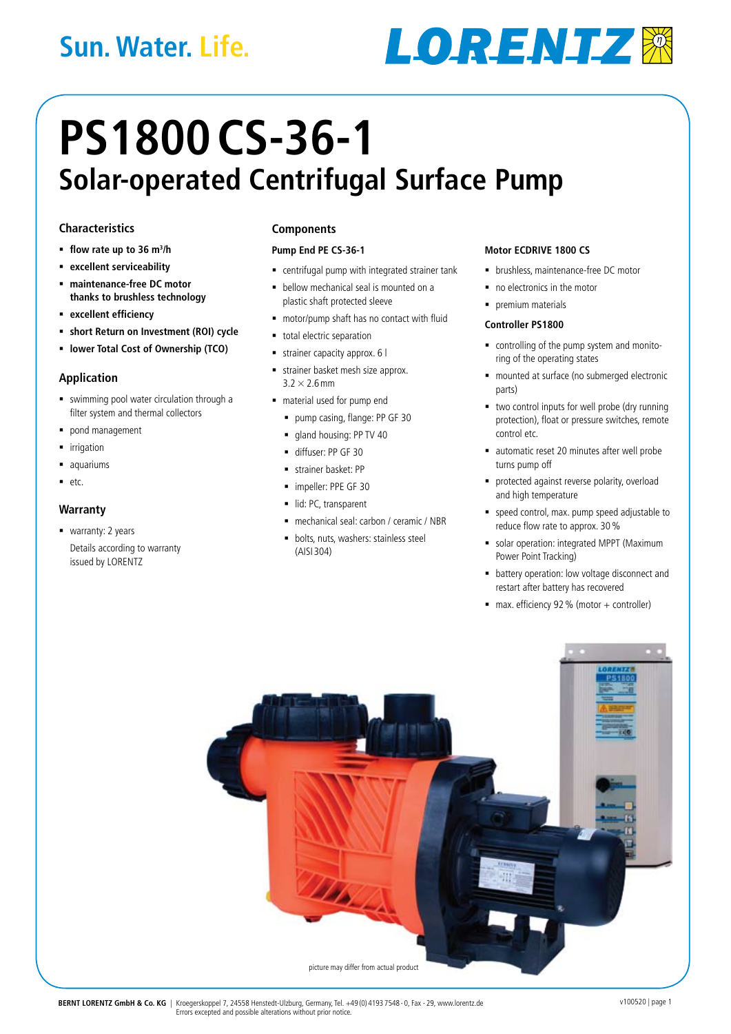## **Sun. Water. Life.**

# **LORENTZW**

## **PS1800CS-36-1 Solar-operated Centrifugal Surface Pump**

#### **Characteristics**

- **flow rate up to 36 m3 /h**
- **excellent serviceability**
- **maintenance-free DC motor thanks to brushless technology**
- **excellent efficiency**
- **short Return on Investment (ROI) cycle**
- **lower Total Cost of Ownership (TCO)**

#### **Application**

- swimming pool water circulation through a filter system and thermal collectors
- pond management
- irrigation
- **a**quariums
- $e$ tc.

#### **Warranty**

■ warranty: 2 years Details according to warranty issued by LORENTZ

#### **Components**

#### **Pump End PE CS-36-1**

- centrifugal pump with integrated strainer tank
- **bellow mechanical seal is mounted on a** plastic shaft protected sleeve
- motor/pump shaft has no contact with fluid
- total electric separation
- strainer capacity approx. 6 l
- strainer basket mesh size approx.  $3.2 \times 2.6$  mm
- material used for pump end
	- pump casing, flange: PP GF 30
	- **gland housing: PP TV 40**
	- diffuser: PP GF 30
	- strainer basket: PP
	- $\blacksquare$  impeller: PPE GF 30
	- lid: PC, transparent
	- mechanical seal: carbon / ceramic / NBR
	- **bolts**, nuts, washers: stainless steel (AISI 304)

#### **Motor ECDRIVE 1800 CS**

- **•** brushless, maintenance-free DC motor
- no electronics in the motor
- premium materials

#### **Controller PS1800**

- controlling of the pump system and monitoring of the operating states
- mounted at surface (no submerged electronic parts)
- two control inputs for well probe (dry running protection), float or pressure switches, remote control etc.
- ullet automatic reset 20 minutes after well probe turns pump off
- **P** protected against reverse polarity, overload and high temperature
- speed control, max. pump speed adjustable to reduce flow rate to approx. 30%
- solar operation: integrated MPPT (Maximum Power Point Tracking)
- battery operation: low voltage disconnect and restart after battery has recovered
- $\blacksquare$  max. efficiency 92 % (motor + controller)

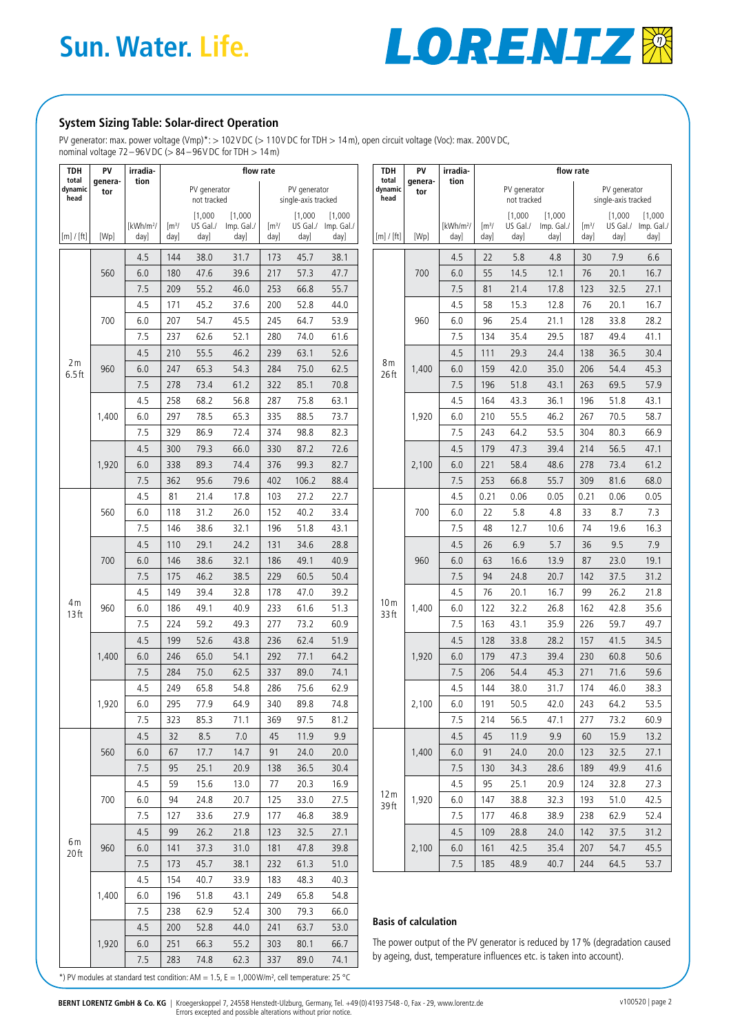

#### **System Sizing Table: Solar-direct Operation**

PV generator: max. power voltage (Vmp)\*: > 102VDC (> 110VDC for TDH > 14m), open circuit voltage (Voc): max. 200VDC, nominal voltage  $72-96$ VDC ( $> 84-96$ VDC for TDH  $> 14$  m)

| <b>TDH</b>               | PV             | irradia-                      | flow rate<br>PV generator<br>PV generator<br>not tracked<br>single-axis tracked |                             |                               | <b>TDH</b>                          | PV                     | irradia-                               | flow rate                                                            |                             |                               |                                      |                                     |                                                                            |                                      |                 |                                        |
|--------------------------|----------------|-------------------------------|---------------------------------------------------------------------------------|-----------------------------|-------------------------------|-------------------------------------|------------------------|----------------------------------------|----------------------------------------------------------------------|-----------------------------|-------------------------------|--------------------------------------|-------------------------------------|----------------------------------------------------------------------------|--------------------------------------|-----------------|----------------------------------------|
| total<br>dynamic<br>head | genera-<br>tor | tion                          |                                                                                 |                             |                               | total<br>dynamic<br>head            | tion<br>genera-<br>tor |                                        |                                                                      | PV generator                |                               |                                      | PV generator<br>single-axis tracked |                                                                            |                                      |                 |                                        |
|                          |                |                               |                                                                                 |                             |                               |                                     | [1,000]                |                                        |                                                                      |                             |                               |                                      | not tracked                         |                                                                            |                                      |                 |                                        |
| [m]/[ft]                 | [Wp]           | [kWh/m <sup>2</sup> /<br>day] | $\rm [m^3/$<br>day]                                                             | [1,000]<br>US Gal./<br>day] | [1,000]<br>Imp. Gal./<br>day] | $\left[\mathrm{m}^3\right]$<br>day] | day]                   | [1,000]<br>US Gal./ Imp. Gal./<br>day] | [m] / [ft]                                                           | [Wp]                        | [kWh/m <sup>2</sup> /<br>day] | $\left[\mathrm{m}^3/\right]$<br>day] | [1,000]<br>US Gal./<br>day]         | [1,000]<br>Imp. Gal./<br>day]                                              | $\left[\frac{m^3}{2}\right]$<br>day] | [1,000]<br>day] | [1,000]<br>US Gal./ Imp. Gal./<br>day] |
|                          |                | 4.5                           | 144                                                                             | 38.0                        | 31.7                          | 173                                 | 45.7                   | 38.1                                   |                                                                      | 700                         | 4.5                           | 22                                   | 5.8                                 | 4.8                                                                        | 30                                   | 7.9             | 6.6                                    |
|                          | 560            | 6.0                           | 180                                                                             | 47.6                        | 39.6                          | 217                                 | 57.3                   | 47.7                                   |                                                                      |                             | 6.0                           | 55                                   | 14.5                                | 12.1                                                                       | 76                                   | 20.1            | 16.7                                   |
|                          |                | 7.5                           | 209                                                                             | 55.2                        | 46.0                          | 253                                 | 66.8                   | 55.7                                   |                                                                      |                             | 7.5                           | 81                                   | 21.4                                | 17.8                                                                       | 123                                  | 32.5            | 27.1                                   |
|                          | 700            | 4.5                           | 171                                                                             | 45.2                        | 37.6                          | 200                                 | 52.8                   | 44.0                                   | 8 <sub>m</sub><br>26 ft                                              | 960                         | 4.5                           | 58                                   | 15.3                                | 12.8                                                                       | 76                                   | 20.1            | 16.7                                   |
|                          |                | 6.0                           | 207                                                                             | 54.7                        | 45.5                          | 245                                 | 64.7                   | 53.9                                   |                                                                      |                             | 6.0                           | 96                                   | 25.4                                | 21.1                                                                       | 128                                  | 33.8            | 28.2                                   |
|                          |                | 7.5                           | 237                                                                             | 62.6                        | 52.1                          | 280                                 | 74.0                   | 61.6                                   |                                                                      |                             | 7.5                           | 134                                  | 35.4                                | 29.5                                                                       | 187                                  | 49.4            | 41.1                                   |
|                          |                | 4.5                           | 210                                                                             | 55.5                        | 46.2                          | 239                                 | 63.1                   | 52.6                                   |                                                                      |                             | 4.5                           | 111                                  | 29.3                                | 24.4                                                                       | 138                                  | 36.5            | 30.4                                   |
| 2 <sub>m</sub>           | 960            | $6.0$                         | 247                                                                             | 65.3                        | 54.3                          | 284                                 | 75.0                   | 62.5                                   |                                                                      | 1,400                       | 6.0                           | 159                                  | 42.0                                | 35.0                                                                       | 206                                  | 54.4            | 45.3                                   |
| $6.5$ ft                 |                | 7.5                           | 278                                                                             | 73.4                        | 61.2                          | 322                                 | 85.1                   | 70.8                                   |                                                                      |                             | 7.5                           | 196                                  | 51.8                                | 43.1                                                                       | 263                                  | 69.5            | 57.9                                   |
|                          |                | 4.5                           | 258                                                                             | 68.2                        | 56.8                          | 287                                 | 75.8                   | 63.1                                   |                                                                      |                             | 4.5                           | 164                                  | 43.3                                | 36.1                                                                       | 196                                  | 51.8            | 43.1                                   |
|                          | 1,400          | 6.0                           | 297                                                                             | 78.5                        | 65.3                          | 335                                 | 88.5                   | 73.7                                   |                                                                      | 1,920                       | 6.0                           | 210                                  | 55.5                                | 46.2                                                                       | 267                                  | 70.5            | 58.7                                   |
|                          |                | 7.5                           | 329                                                                             | 86.9                        | 72.4                          | 374                                 | 98.8                   | 82.3                                   |                                                                      |                             | 7.5                           | 243                                  | 64.2                                | 53.5                                                                       | 304                                  | 80.3            | 66.9                                   |
|                          |                | 4.5                           | 300                                                                             | 79.3                        | 66.0                          | 330                                 | 87.2                   | 72.6                                   |                                                                      |                             | 4.5                           | 179                                  | 47.3                                | 39.4                                                                       | 214                                  | 56.5            | 47.1                                   |
|                          | 1,920          | 6.0                           | 338                                                                             | 89.3                        | 74.4                          | 376                                 | 99.3                   | 82.7                                   |                                                                      | 2,100                       | 6.0                           | 221                                  | 58.4                                | 48.6                                                                       | 278                                  | 73.4            | 61.2                                   |
|                          |                | 7.5                           | 362                                                                             | 95.6                        | 79.6                          | 402                                 | 106.2                  | 88.4                                   |                                                                      |                             | 7.5                           | 253                                  | 66.8                                | 55.7                                                                       | 309                                  | 81.6            | 68.0                                   |
|                          |                | 4.5                           | 81                                                                              | 21.4                        | 17.8                          | 103                                 | 27.2                   | 22.7                                   | 10 <sub>m</sub><br>33 ft                                             | 700                         | 4.5                           | 0.21                                 | 0.06                                | 0.05                                                                       | 0.21                                 | 0.06            | 0.05                                   |
|                          | 560            | 6.0                           | 118                                                                             | 31.2                        | 26.0                          | 152                                 | 40.2                   | 33.4                                   |                                                                      |                             | 6.0                           | 22                                   | 5.8                                 | 4.8                                                                        | 33                                   | 8.7             | 7.3                                    |
|                          |                | 7.5                           | 146                                                                             | 38.6                        | 32.1                          | 196                                 | 51.8                   | 43.1                                   |                                                                      |                             | 7.5                           | 48                                   | 12.7                                | 10.6                                                                       | 74                                   | 19.6            | 16.3                                   |
|                          | 700            | 4.5                           | 110                                                                             | 29.1                        | 24.2                          | 131                                 | 34.6                   | 28.8                                   |                                                                      | 960                         | 4.5                           | 26                                   | 6.9                                 | 5.7                                                                        | 36                                   | 9.5             | 7.9                                    |
|                          |                | $6.0$                         | 146                                                                             | 38.6                        | 32.1                          | 186                                 | 49.1                   | 40.9                                   |                                                                      |                             | 6.0                           | 63                                   | 16.6                                | 13.9                                                                       | 87                                   | 23.0            | 19.1                                   |
|                          |                | 7.5                           | 175                                                                             | 46.2                        | 38.5                          | 229                                 | 60.5                   | 50.4                                   |                                                                      |                             | 7.5                           | 94                                   | 24.8                                | 20.7                                                                       | 142                                  | 37.5            | 31.2                                   |
| 4 m<br>13 <sub>ft</sub>  |                | 4.5                           | 149                                                                             | 39.4                        | 32.8                          | 178                                 | 47.0                   | 39.2                                   |                                                                      | 1,400                       | 4.5                           | 76                                   | 20.1                                | 16.7                                                                       | 99                                   | 26.2            | 21.8                                   |
|                          | 960            | 6.0                           | 186                                                                             | 49.1                        | 40.9                          | 233                                 | 61.6                   | 51.3                                   |                                                                      |                             | 6.0                           | 122                                  | 32.2                                | 26.8                                                                       | 162                                  | 42.8            | 35.6                                   |
|                          |                | 7.5                           | 224                                                                             | 59.2                        | 49.3                          | 277                                 | 73.2                   | 60.9                                   |                                                                      |                             | 7.5                           | 163                                  | 43.1                                | 35.9                                                                       | 226                                  | 59.7            | 49.7                                   |
|                          | 1,400          | 4.5                           | 199                                                                             | 52.6                        | 43.8                          | 236                                 | 62.4                   | 51.9                                   |                                                                      | 1,920                       | 4.5                           | 128                                  | 33.8                                | 28.2                                                                       | 157                                  | 41.5            | 34.5                                   |
|                          |                | 6.0                           | 246                                                                             | 65.0                        | 54.1                          | 292                                 | 77.1                   | 64.2                                   |                                                                      |                             | 6.0                           | 179                                  | 47.3                                | 39.4                                                                       | 230                                  | 60.8            | 50.6                                   |
|                          |                | 7.5                           | 284                                                                             | 75.0                        | 62.5                          | 337                                 | 89.0                   | 74.1                                   |                                                                      |                             | 7.5                           | 206                                  | 54.4                                | 45.3                                                                       | 271                                  | 71.6            | 59.6                                   |
|                          | 1,920          | 4.5                           | 249                                                                             | 65.8                        | 54.8                          | 286                                 | 75.6                   | 62.9                                   |                                                                      | 2,100                       | 4.5                           | 144                                  | 38.0                                | 31.7                                                                       | 174                                  | 46.0            | 38.3                                   |
|                          |                | 6.0                           | 295                                                                             | 77.9                        | 64.9                          | 340                                 | 89.8                   | 74.8                                   |                                                                      |                             | 6.0                           | 191                                  | 50.5                                | 42.0                                                                       | 243                                  | 64.2            | 53.5                                   |
|                          |                | 7.5                           | 323                                                                             | 85.3                        | 71.1                          | 369                                 | 97.5                   | 81.2                                   |                                                                      |                             | 7.5                           | 214                                  | 56.5                                | 47.1                                                                       | 277                                  | 73.2            | 60.9                                   |
| 6m<br>20ft               | 560            | 4.5                           | 32                                                                              | 8.5                         | 7.0                           | 45                                  | 11.9                   | 9.9                                    | 12 <sub>m</sub><br>39ft                                              | 1,400                       | 4.5                           | 45                                   | 11.9                                | 9.9                                                                        | 60                                   | 15.9            | 13.2                                   |
|                          |                | 6.0                           | 67                                                                              | 17.7                        | 14.7                          | 91                                  | 24.0                   | 20.0                                   |                                                                      |                             | 6.0                           | 91                                   | 24.0                                | 20.0                                                                       | 123                                  | 32.5            | 27.1                                   |
|                          |                | 7.5                           | 95                                                                              | 25.1                        | 20.9                          | 138                                 | 36.5                   | 30.4                                   |                                                                      |                             | 7.5                           | 130                                  | 34.3                                | 28.6                                                                       | 189                                  | 49.9            | 41.6                                   |
|                          | 700            | 4.5                           | 59                                                                              | 15.6                        | 13.0                          | 77                                  | 20.3                   | 16.9                                   |                                                                      | 1,920                       | 4.5                           | 95                                   | 25.1                                | 20.9                                                                       | 124                                  | 32.8            | 27.3                                   |
|                          |                | 6.0                           | 94                                                                              | 24.8                        | 20.7                          | 125                                 | 33.0                   | 27.5                                   |                                                                      |                             | 6.0                           | 147                                  | 38.8                                | 32.3                                                                       | 193                                  | 51.0            | 42.5                                   |
|                          |                | 7.5                           | 127                                                                             | 33.6                        | 27.9                          | 177                                 | 46.8                   | 38.9                                   |                                                                      |                             | 7.5                           | 177                                  | 46.8                                | 38.9                                                                       | 238                                  | 62.9            | 52.4                                   |
|                          | 960            | 4.5                           | 99                                                                              | 26.2                        | 21.8                          | 123                                 | 32.5                   | 27.1                                   |                                                                      | 2,100                       | 4.5                           | 109                                  | 28.8                                | 24.0                                                                       | 142                                  | 37.5            | 31.2                                   |
|                          |                | 6.0                           | 141                                                                             | 37.3                        | 31.0                          | 181                                 | 47.8                   | 39.8                                   |                                                                      |                             | 6.0                           | 161                                  | 42.5                                | 35.4                                                                       | 207                                  | 54.7            | 45.5                                   |
|                          |                | 7.5                           | 173                                                                             | 45.7                        | 38.1                          | 232                                 | 61.3                   | 51.0                                   |                                                                      |                             | 7.5                           | 185                                  | 48.9                                | 40.7                                                                       | 244                                  | 64.5            | 53.7                                   |
|                          | 1,400          | 4.5                           | 154                                                                             | 40.7                        | 33.9                          | 183                                 | 48.3                   | 40.3                                   |                                                                      |                             |                               |                                      |                                     |                                                                            |                                      |                 |                                        |
|                          |                | 6.0                           | 196                                                                             | 51.8                        | 43.1                          | 249                                 | 65.8                   | 54.8                                   |                                                                      |                             |                               |                                      |                                     |                                                                            |                                      |                 |                                        |
|                          |                | 7.5                           | 238                                                                             | 62.9                        | 52.4                          | 300                                 | 79.3                   | 66.0                                   |                                                                      |                             |                               |                                      |                                     |                                                                            |                                      |                 |                                        |
|                          |                | 4.5                           | 200                                                                             | 52.8                        | 44.0                          | 241                                 | 63.7                   | 53.0                                   |                                                                      | <b>Basis of calculation</b> |                               |                                      |                                     |                                                                            |                                      |                 |                                        |
|                          | 1,920          | 6.0                           | 251                                                                             | 66.3                        | 55.2                          | 303                                 | 80.1                   | 66.7                                   |                                                                      |                             |                               |                                      |                                     | The power output of the PV generator is reduced by 17% (degradation caused |                                      |                 |                                        |
|                          |                | 7.5                           | 283                                                                             | 74.8                        | 62.3                          | 337                                 | 89.0                   | 74.1                                   | by ageing, dust, temperature influences etc. is taken into account). |                             |                               |                                      |                                     |                                                                            |                                      |                 |                                        |

\*) PV modules at standard test condition: AM =  $1.5$ , E =  $1,000$ W/m<sup>2</sup>, cell temperature: 25 °C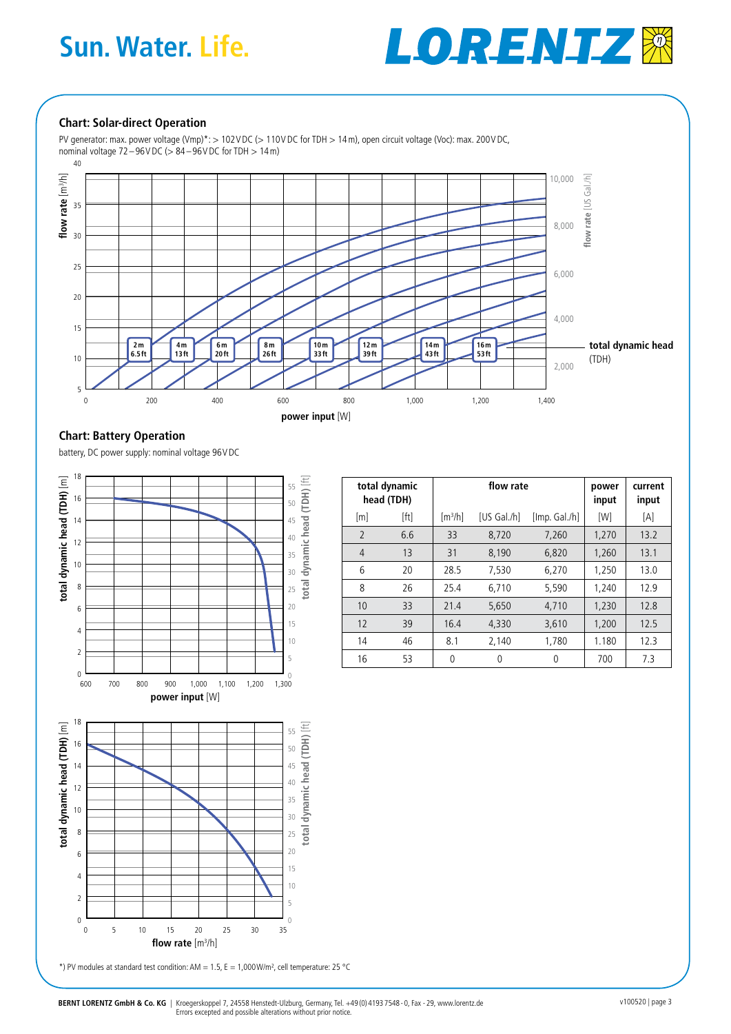## **Sun. Water. Life.**



#### **Chart: Solar-direct Operation**

PV generator: max. power voltage (Vmp)\*: > 102VDC (> 110VDC for TDH > 14m), open circuit voltage (Voc): max. 200VDC, nominal voltage 72–96VDC (> 84 –96VDC for TDH > 14m)



 $\sqrt{ }$ 

#### **Chart: Battery Operation**

battery, DC power supply: nominal voltage 96VDC



|                | total dynamic<br>head (TDH) |                     | flow rate          | power<br>input | current<br>input |      |
|----------------|-----------------------------|---------------------|--------------------|----------------|------------------|------|
| [m]            | [ft]                        | [m <sup>3</sup> /h] | <b>IUS Gal./hl</b> | [Imp. Gal./h]  | [W]              | [A]  |
| $\overline{2}$ | 6.6                         | 33                  | 8,720              | 7,260          | 1,270            | 13.2 |
| 4              | 13                          | 31                  | 8.190              | 6,820          | 1.260            | 13.1 |
| 6              | 20                          | 28.5                | 7,530              | 6,270          | 1,250            | 13.0 |
| 8              | 26                          | 25.4                | 6,710              | 5,590          | 1,240            | 12.9 |
| 10             | 33                          | 21.4                | 5,650              | 4,710          | 1,230            | 12.8 |
| 12             | 39                          | 16.4                | 4,330              | 3,610          | 1.200            | 12.5 |
| 14             | 46                          | 8.1                 | 2,140              | 1,780          | 1.180            | 12.3 |
| 16             | 53                          | $\Omega$            | 0                  | $\theta$       | 700              | 7.3  |



\*) PV modules at standard test condition: AM =  $1.5$ , E =  $1,000$ W/m<sup>2</sup>, cell temperature: 25 °C